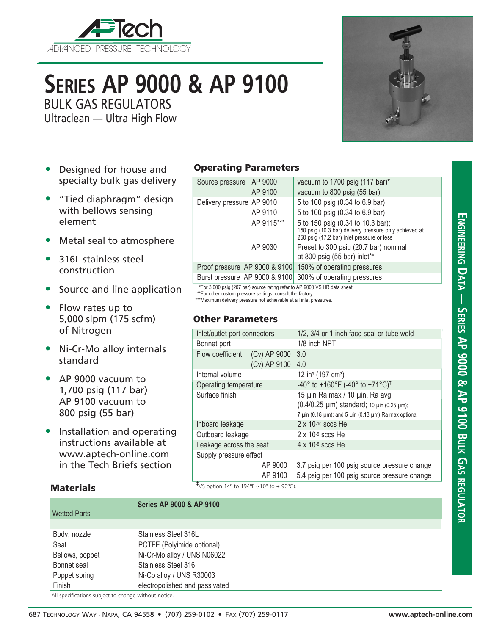

# **Series AP 9000 & AP 9100**

BULK GAS REGULATORS

Ultraclean — Ultra High Flow



**Engineering D**

**a t**

**a — Series AP 9000 & AP 9100 Bulk**

CP<br>م

**regul**

**ator**

- Designed for house and specialty bulk gas delivery
- "Tied diaphragm" design with bellows sensing element
- Metal seal to atmosphere
- 316L stainless steel construction
- Source and line application
- Flow rates up to 5,000 slpm (175 scfm) of Nitrogen
- Ni-Cr-Mo alloy internals standard
- AP 9000 vacuum to 1,700 psig (117 bar) AP 9100 vacuum to 800 psig (55 bar)

**Materials** 

• Installation and operating instructions available at www.aptech-online.com in the Tech Briefs section

### Operating Parameters

| Source pressure AP 9000       | AP 9100 | vacuum to 1700 psig (117 bar)*<br>vacuum to 800 psig (55 bar)                                                                             |  |
|-------------------------------|---------|-------------------------------------------------------------------------------------------------------------------------------------------|--|
| Delivery pressure AP 9010     | AP 9110 | 5 to 100 psig (0.34 to 6.9 bar)<br>5 to 100 psig (0.34 to 6.9 bar)                                                                        |  |
| AP 9115***                    |         | 5 to 150 psig (0.34 to 10.3 bar);<br>150 psig (10.3 bar) delivery pressure only achieved at<br>250 psig (17.2 bar) inlet pressure or less |  |
|                               | AP 9030 | Preset to 300 psig (20.7 bar) nominal<br>at 800 psig (55 bar) inlet**                                                                     |  |
| Proof pressure AP 9000 & 9100 |         | 150% of operating pressures                                                                                                               |  |
| Burst pressure AP 9000 & 9100 |         | 300% of operating pressures                                                                                                               |  |

\*For 3,000 psig (207 bar) source rating refer to AP 9000 VS HR data sheet.

\*\*\*For other custom pressure settings, consult the factory.

\*\*\*Maximum delivery pressure not achievable at all inlet pressures.

#### Other Parameters

| Inlet/outlet port connectors |              | 1/2, 3/4 or 1 inch face seal or tube weld                                |  |  |
|------------------------------|--------------|--------------------------------------------------------------------------|--|--|
| Bonnet port                  |              | 1/8 inch NPT                                                             |  |  |
| Flow coefficient             | (Cv) AP 9000 | 3.0                                                                      |  |  |
|                              | (Cv) AP 9100 | 4.0                                                                      |  |  |
| Internal volume              |              | 12 in <sup>3</sup> (197 cm <sup>3</sup> )                                |  |  |
| Operating temperature        |              | -40° to +160°F (-40° to +71°C) <sup>‡</sup>                              |  |  |
| Surface finish               |              | 15 µin Ra max / 10 µin. Ra avg.                                          |  |  |
|                              |              | (0.4/0.25 µm) standard; 10 µin (0.25 µm);                                |  |  |
|                              |              | 7 $\mu$ in (0.18 $\mu$ m); and 5 $\mu$ in (0.13 $\mu$ m) Ra max optional |  |  |
| Inboard leakage              |              | $2 \times 10^{-10}$ sccs He                                              |  |  |
| Outboard leakage             |              | $2 \times 10^{-9}$ sccs He                                               |  |  |
| Leakage across the seat      |              | $4 \times 10^{-8}$ sccs He                                               |  |  |
| Supply pressure effect       |              |                                                                          |  |  |
|                              | AP 9000      | 3.7 psig per 100 psig source pressure change                             |  |  |
|                              | AP 9100      | 5.4 psig per 100 psig source pressure change                             |  |  |
| Ŧ                            |              |                                                                          |  |  |

‡ VS option 14º to 194ºF (-10º to + 90ºC).

## Body, nozzle <br>
Stainless Steel 316L Seat PCTFE (Polyimide optional) Bellows, poppet | Ni-Cr-Mo alloy / UNS N06022 Bonnet seal Stainless Steel 316 Poppet spring Ni-Co alloy / UNS R30003 Finish electropolished and passivated **Series AP 9000 & AP 9100** Wetted Parts

All specifications subject to change without notice.